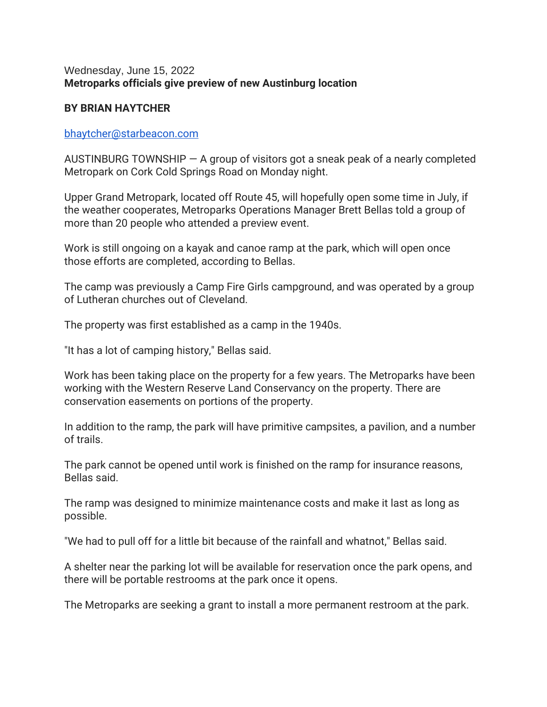## Wednesday, June 15, 2022 **Metroparks officials give preview of new Austinburg location**

## **BY BRIAN HAYTCHER**

## [bhaytcher@starbeacon.com](mailto:bhaytcher@starbeacon.com)

AUSTINBURG TOWNSHIP  $-$  A group of visitors got a sneak peak of a nearly completed Metropark on Cork Cold Springs Road on Monday night.

Upper Grand Metropark, located off Route 45, will hopefully open some time in July, if the weather cooperates, Metroparks Operations Manager Brett Bellas told a group of more than 20 people who attended a preview event.

Work is still ongoing on a kayak and canoe ramp at the park, which will open once those efforts are completed, according to Bellas.

The camp was previously a Camp Fire Girls campground, and was operated by a group of Lutheran churches out of Cleveland.

The property was first established as a camp in the 1940s.

"It has a lot of camping history," Bellas said.

Work has been taking place on the property for a few years. The Metroparks have been working with the Western Reserve Land Conservancy on the property. There are conservation easements on portions of the property.

In addition to the ramp, the park will have primitive campsites, a pavilion, and a number of trails.

The park cannot be opened until work is finished on the ramp for insurance reasons, Bellas said.

The ramp was designed to minimize maintenance costs and make it last as long as possible.

"We had to pull off for a little bit because of the rainfall and whatnot," Bellas said.

A shelter near the parking lot will be available for reservation once the park opens, and there will be portable restrooms at the park once it opens.

The Metroparks are seeking a grant to install a more permanent restroom at the park.